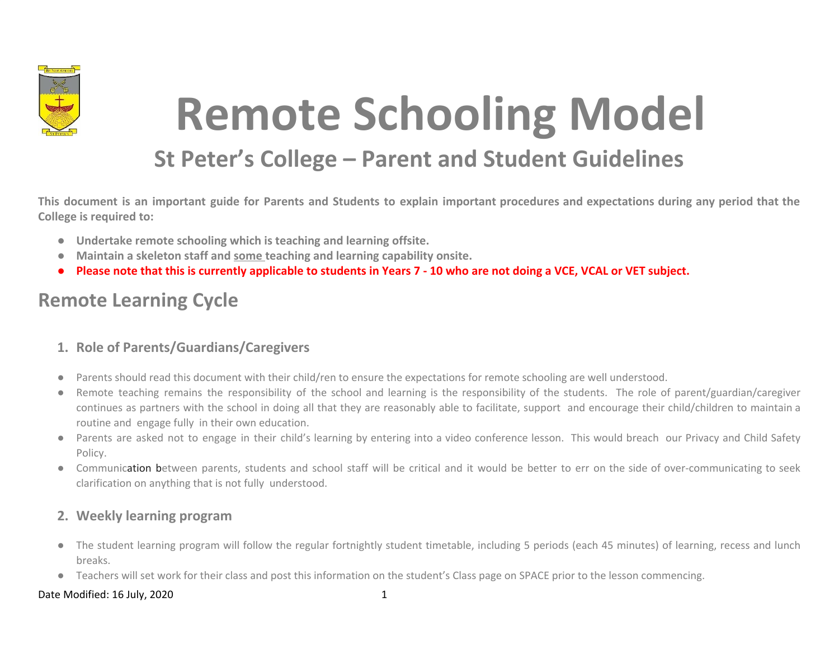

# **Remote Schooling Model**

## **St Peter's College – Parent and Student Guidelines**

This document is an important guide for Parents and Students to explain important procedures and expectations during any period that the **College is required to:**

- **● Undertake remote schooling which is teaching and learning offsite.**
- **● Maintain a skeleton staff and some teaching and learning capability onsite.**
- **● Please note that this is currently applicable to students in Years 7 10 who are not doing a VCE, VCAL or VET subject.**

### **Remote Learning Cycle**

### **1. Role of Parents/Guardians/Caregivers**

- Parents should read this document with their child/ren to ensure the expectations for remote schooling are well understood.
- Remote teaching remains the responsibility of the school and learning is the responsibility of the students. The role of parent/guardian/caregiver continues as partners with the school in doing all that they are reasonably able to facilitate, support and encourage their child/children to maintain a routine and engage fully in their own education.
- Parents are asked not to engage in their child's learning by entering into a video conference lesson. This would breach our Privacy and Child Safety Policy.
- Communication between parents, students and school staff will be critical and it would be better to err on the side of over-communicating to seek clarification on anything that is not fully understood.

### **2. Weekly learning program**

- The student learning program will follow the regular fortnightly student timetable, including 5 periods (each 45 minutes) of learning, recess and lunch breaks.
- Teachers will set work for their class and post this information on the student's Class page on SPACE prior to the lesson commencing.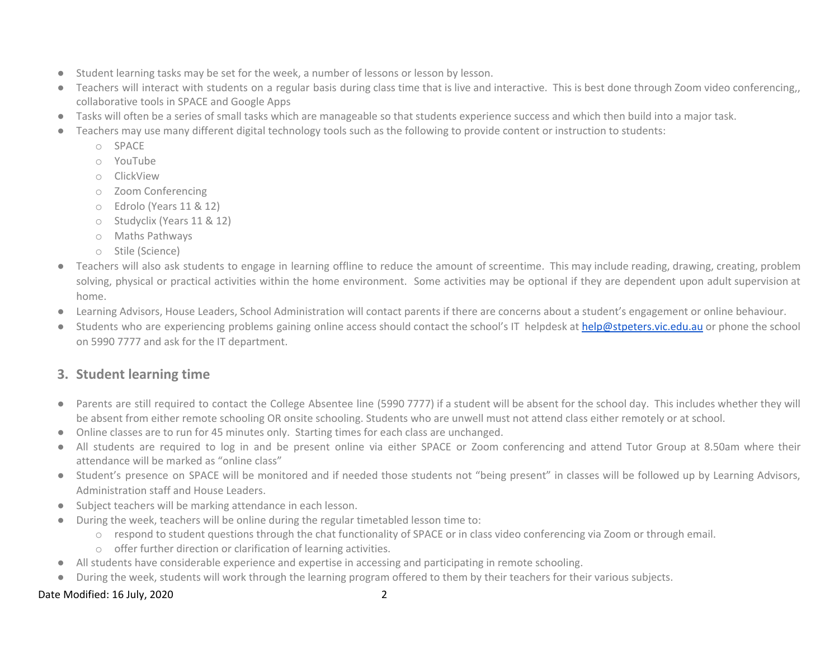- Student learning tasks may be set for the week, a number of lessons or lesson by lesson.
- Teachers will interact with students on a regular basis during class time that is live and interactive. This is best done through Zoom video conferencing, collaborative tools in SPACE and Google Apps
- Tasks will often be a series of small tasks which are manageable so that students experience success and which then build into a major task.
- Teachers may use many different digital technology tools such as the following to provide content or instruction to students:
	- o SPACE
	- o YouTube
	- o ClickView
	- o Zoom Conferencing
	- o Edrolo (Years 11 & 12)
	- o Studyclix (Years 11 & 12)
	- o Maths Pathways
	- o Stile (Science)
- Teachers will also ask students to engage in learning offline to reduce the amount of screentime. This may include reading, drawing, creating, problem solving, physical or practical activities within the home environment. Some activities may be optional if they are dependent upon adult supervision at home.
- Learning Advisors, House Leaders, School Administration will contact parents if there are concerns about a student's engagement or online behaviour.
- Students who are experiencing problems gaining online access should contact the school's IT helpdesk at [help@stpeters.vic.edu.au](mailto:help@stpeters.vic.edu.au) or phone the school on 5990 7777 and ask for the IT department.

### **3. Student learning time**

- Parents are still required to contact the College Absentee line (5990 7777) if a student will be absent for the school day. This includes whether they will be absent from either remote schooling OR onsite schooling. Students who are unwell must not attend class either remotely or at school.
- Online classes are to run for 45 minutes only. Starting times for each class are unchanged.
- All students are required to log in and be present online via either SPACE or Zoom conferencing and attend Tutor Group at 8.50am where their attendance will be marked as "online class"
- Student's presence on SPACE will be monitored and if needed those students not "being present" in classes will be followed up by Learning Advisors, Administration staff and House Leaders.
- Subject teachers will be marking attendance in each lesson.
- During the week, teachers will be online during the regular timetabled lesson time to:
	- o respond to student questions through the chat functionality of SPACE or in class video conferencing via Zoom or through email.
	- o offer further direction or clarification of learning activities.
- All students have considerable experience and expertise in accessing and participating in remote schooling.
- During the week, students will work through the learning program offered to them by their teachers for their various subjects.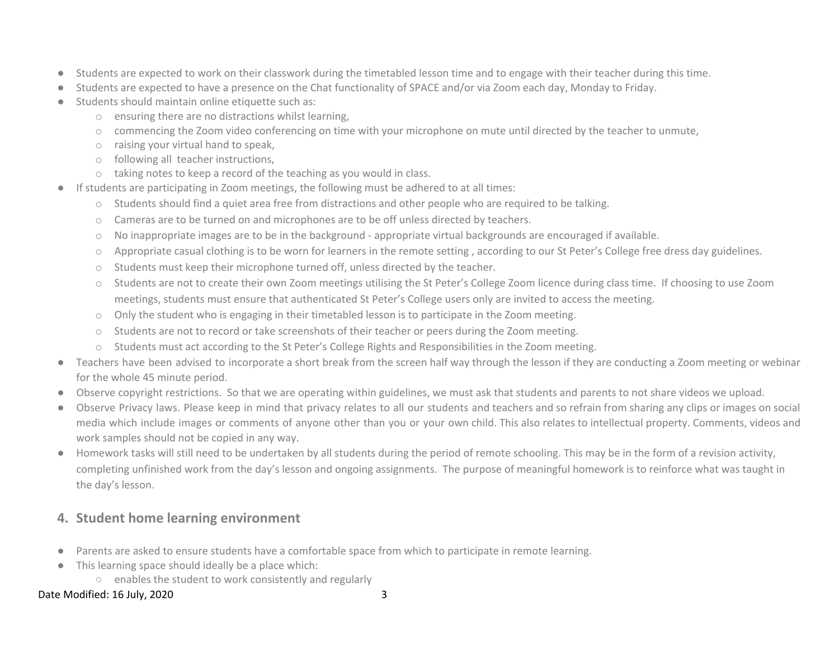- Students are expected to work on their classwork during the timetabled lesson time and to engage with their teacher during this time.
- Students are expected to have a presence on the Chat functionality of SPACE and/or via Zoom each day, Monday to Friday.
- Students should maintain online etiquette such as:
	- o ensuring there are no distractions whilst learning,
	- o commencing the Zoom video conferencing on time with your microphone on mute until directed by the teacher to unmute,
	- o raising your virtual hand to speak,
	- o following all teacher instructions,
	- o taking notes to keep a record of the teaching as you would in class.
- If students are participating in Zoom meetings, the following must be adhered to at all times:
	- o Students should find a quiet area free from distractions and other people who are required to be talking.
	- o Cameras are to be turned on and microphones are to be off unless directed by teachers.
	- o No inappropriate images are to be in the background appropriate virtual backgrounds are encouraged if available.
	- o Appropriate casual clothing is to be worn for learners in the remote setting , according to our St Peter's College free dress day guidelines.
	- o Students must keep their microphone turned off, unless directed by the teacher.
	- o Students are not to create their own Zoom meetings utilising the St Peter's College Zoom licence during class time. If choosing to use Zoom meetings, students must ensure that authenticated St Peter's College users only are invited to access the meeting.
	- o Only the student who is engaging in their timetabled lesson is to participate in the Zoom meeting.
	- o Students are not to record or take screenshots of their teacher or peers during the Zoom meeting.
	- o Students must act according to the St Peter's College Rights and Responsibilities in the Zoom meeting.
- Teachers have been advised to incorporate a short break from the screen half way through the lesson if they are conducting a Zoom meeting or webinar for the whole 45 minute period.
- Observe copyright restrictions. So that we are operating within guidelines, we must ask that students and parents to not share videos we upload.
- Observe Privacy laws. Please keep in mind that privacy relates to all our students and teachers and so refrain from sharing any clips or images on social media which include images or comments of anyone other than you or your own child. This also relates to intellectual property. Comments, videos and work samples should not be copied in any way.
- Homework tasks will still need to be undertaken by all students during the period of remote schooling. This may be in the form of a revision activity, completing unfinished work from the day's lesson and ongoing assignments. The purpose of meaningful homework is to reinforce what was taught in the day's lesson.

### **4. Student home learning environment**

- Parents are asked to ensure students have a comfortable space from which to participate in remote learning.
- This learning space should ideally be a place which:
	- enables the student to work consistently and regularly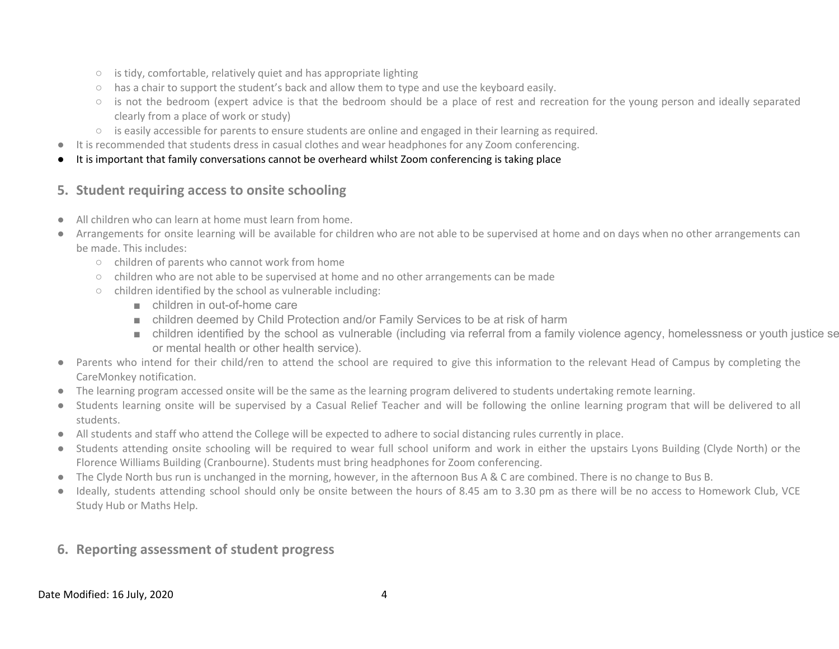- $\circ$  is tidy, comfortable, relatively quiet and has appropriate lighting
- has a chair to support the student's back and allow them to type and use the keyboard easily.
- is not the bedroom (expert advice is that the bedroom should be a place of rest and recreation for the young person and ideally separated clearly from a place of work or study)
- is easily accessible for parents to ensure students are online and engaged in their learning as required.
- It is recommended that students dress in casual clothes and wear headphones for any Zoom conferencing.
- It is important that family conversations cannot be overheard whilst Zoom conferencing is taking place

### **5. Student requiring access to onsite schooling**

- All children who can learn at home must learn from home.
- Arrangements for onsite learning will be available for children who are not able to be supervised at home and on days when no other arrangements can be made. This includes:
	- children of parents who cannot work from home
	- children who are not able to be supervised at home and no other arrangements can be made
	- children identified by the school as vulnerable including:
		- children in out-of-home care
		- children deemed by Child Protection and/or Family Services to be at risk of harm
		- children identified by the school as vulnerable (including via referral from a family violence agency, homelessness or youth justice se or mental health or other health service).
- Parents who intend for their child/ren to attend the school are required to give this information to the relevant Head of Campus by completing the CareMonkey notification.
- The learning program accessed onsite will be the same as the learning program delivered to students undertaking remote learning.
- Students learning onsite will be supervised by a Casual Relief Teacher and will be following the online learning program that will be delivered to all students.
- All students and staff who attend the College will be expected to adhere to social distancing rules currently in place.
- Students attending onsite schooling will be required to wear full school uniform and work in either the upstairs Lyons Building (Clyde North) or the Florence Williams Building (Cranbourne). Students must bring headphones for Zoom conferencing.
- The Clyde North bus run is unchanged in the morning, however, in the afternoon Bus A & C are combined. There is no change to Bus B.
- Ideally, students attending school should only be onsite between the hours of 8.45 am to 3.30 pm as there will be no access to Homework Club, VCE Study Hub or Maths Help.
- **6. Reporting assessment of student progress**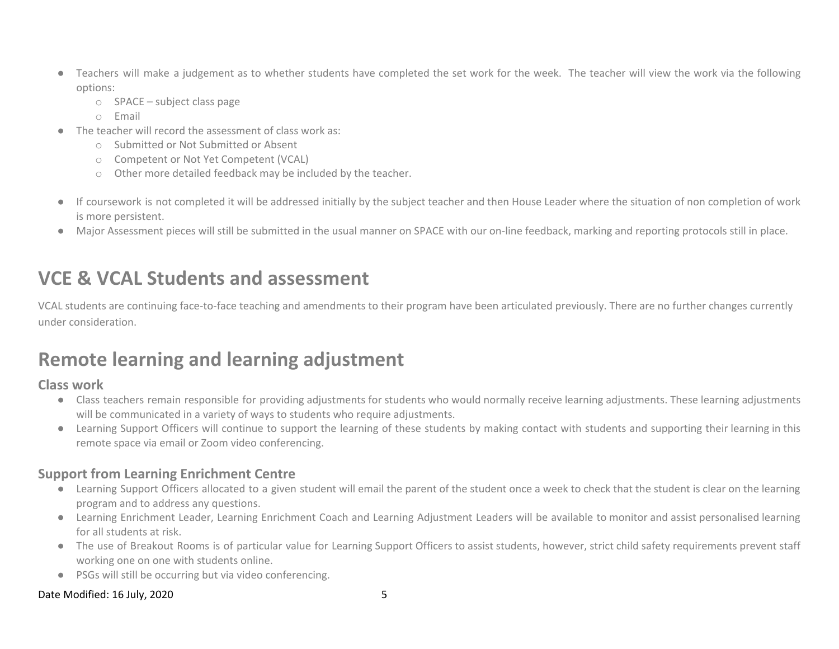- Teachers will make a judgement as to whether students have completed the set work for the week. The teacher will view the work via the following options:
	- o SPACE subject class page
	- o Email
- The teacher will record the assessment of class work as:
	- o Submitted or Not Submitted or Absent
	- o Competent or Not Yet Competent (VCAL)
	- o Other more detailed feedback may be included by the teacher.
- If coursework is not completed it will be addressed initially by the subject teacher and then House Leader where the situation of non completion of work is more persistent.
- Major Assessment pieces will still be submitted in the usual manner on SPACE with our on-line feedback, marking and reporting protocols still in place.

### **VCE & VCAL Students and assessment**

VCAL students are continuing face-to-face teaching and amendments to their program have been articulated previously. There are no further changes currently under consideration.

### **Remote learning and learning adjustment**

### **Class work**

- Class teachers remain responsible for providing adjustments for students who would normally receive learning adjustments. These learning adjustments will be communicated in a variety of ways to students who require adjustments.
- Learning Support Officers will continue to support the learning of these students by making contact with students and supporting their learning in this remote space via email or Zoom video conferencing.

### **Support from Learning Enrichment Centre**

- Learning Support Officers allocated to a given student will email the parent of the student once a week to check that the student is clear on the learning program and to address any questions.
- Learning Enrichment Leader, Learning Enrichment Coach and Learning Adjustment Leaders will be available to monitor and assist personalised learning for all students at risk.
- The use of Breakout Rooms is of particular value for Learning Support Officers to assist students, however, strict child safety requirements prevent staff working one on one with students online.
- PSGs will still be occurring but via video conferencing.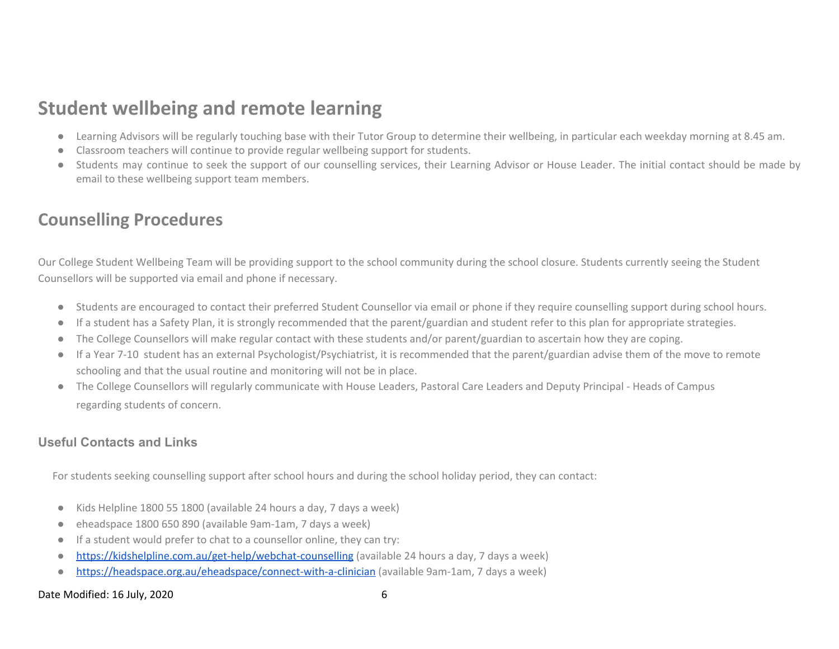### **Student wellbeing and remote learning**

- Learning Advisors will be regularly touching base with their Tutor Group to determine their wellbeing, in particular each weekday morning at 8.45 am.
- Classroom teachers will continue to provide regular wellbeing support for students.
- Students may continue to seek the support of our counselling services, their Learning Advisor or House Leader. The initial contact should be made by email to these wellbeing support team members.

### **Counselling Procedures**

Our College Student Wellbeing Team will be providing support to the school community during the school closure. Students currently seeing the Student Counsellors will be supported via email and phone if necessary.

- Students are encouraged to contact their preferred Student Counsellor via email or phone if they require counselling support during school hours.
- If a student has a Safety Plan, it is strongly recommended that the parent/guardian and student refer to this plan for appropriate strategies.
- The College Counsellors will make regular contact with these students and/or parent/guardian to ascertain how they are coping.
- If a Year 7-10 student has an external Psychologist/Psychiatrist, it is recommended that the parent/guardian advise them of the move to remote schooling and that the usual routine and monitoring will not be in place.
- The College Counsellors will regularly communicate with House Leaders, Pastoral Care Leaders and Deputy Principal Heads of Campus regarding students of concern.

### **Useful Contacts and Links**

For students seeking counselling support after school hours and during the school holiday period, they can contact:

- Kids Helpline 1800 55 1800 (available 24 hours a day, 7 days a week)
- eheadspace 1800 650 890 (available 9am-1am, 7 days a week)
- If a student would prefer to chat to a counsellor online, they can try:
- <https://kidshelpline.com.au/get-help/webchat-counselling> (available 24 hours a day, 7 days a week)
- <https://headspace.org.au/eheadspace/connect-with-a-clinician> (available 9am-1am, 7 days a week)